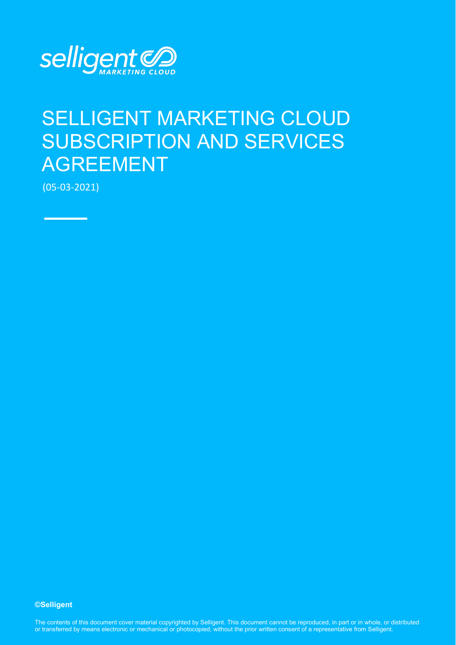

# SELLIGENT MARKETING CLOUD SUBSCRIPTION AND SERVICES AGREEMENT

(05-03-2021)

**©Selligent** 

The contents of this document cover material copyrighted by Selligent. This document cannot be reproduced, in part or in whole, or distributed or transferred by means electronic or mechanical or photocopied, without the prior written consent of a representative from Selligent.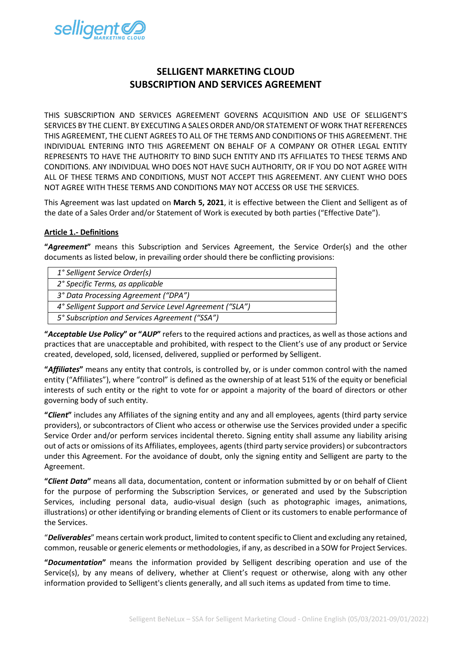

# **SELLIGENT MARKETING CLOUD SUBSCRIPTION AND SERVICES AGREEMENT**

THIS SUBSCRIPTION AND SERVICES AGREEMENT GOVERNS ACQUISITION AND USE OF SELLIGENT'S SERVICES BY THE CLIENT. BY EXECUTING A SALES ORDER AND/OR STATEMENT OF WORK THAT REFERENCES THIS AGREEMENT, THE CLIENT AGREES TO ALL OF THE TERMS AND CONDITIONS OF THIS AGREEMENT. THE INDIVIDUAL ENTERING INTO THIS AGREEMENT ON BEHALF OF A COMPANY OR OTHER LEGAL ENTITY REPRESENTS TO HAVE THE AUTHORITY TO BIND SUCH ENTITY AND ITS AFFILIATES TO THESE TERMS AND CONDITIONS. ANY INDIVIDUAL WHO DOES NOT HAVE SUCH AUTHORITY, OR IF YOU DO NOT AGREE WITH ALL OF THESE TERMS AND CONDITIONS, MUST NOT ACCEPT THIS AGREEMENT. ANY CLIENT WHO DOES NOT AGREE WITH THESE TERMS AND CONDITIONS MAY NOT ACCESS OR USE THE SERVICES.

This Agreement was last updated on **March 5, 2021**, it is effective between the Client and Selligent as of the date of a Sales Order and/or Statement of Work is executed by both parties ("Effective Date").

# **Article 1.- Definitions**

**"***Agreement***"** means this Subscription and Services Agreement, the Service Order(s) and the other documents as listed below, in prevailing order should there be conflicting provisions:

| 1° Selligent Service Order(s)                            |
|----------------------------------------------------------|
| 2° Specific Terms, as applicable                         |
| 3° Data Processing Agreement ("DPA")                     |
| 4° Selligent Support and Service Level Agreement ("SLA") |
| 5° Subscription and Services Agreement ("SSA")           |
|                                                          |

**"***Acceptable Use Policy***" or "***AUP***"** refers to the required actions and practices, as well as those actions and practices that are unacceptable and prohibited, with respect to the Client's use of any product or Service created, developed, sold, licensed, delivered, supplied or performed by Selligent.

**"***Affiliates***"** means any entity that controls, is controlled by, or is under common control with the named entity ("Affiliates"), where "control" is defined as the ownership of at least 51% of the equity or beneficial interests of such entity or the right to vote for or appoint a majority of the board of directors or other governing body of such entity.

**"***Client***"** includes any Affiliates of the signing entity and any and all employees, agents (third party service providers), or subcontractors of Client who access or otherwise use the Services provided under a specific Service Order and/or perform services incidental thereto. Signing entity shall assume any liability arising out of acts or omissions of its Affiliates, employees, agents (third party service providers) or subcontractors under this Agreement. For the avoidance of doubt, only the signing entity and Selligent are party to the Agreement.

**"***Client Data***"** means all data, documentation, content or information submitted by or on behalf of Client for the purpose of performing the Subscription Services, or generated and used by the Subscription Services, including personal data, audio-visual design (such as photographic images, animations, illustrations) or other identifying or branding elements of Client or its customers to enable performance of the Services.

"*Deliverables*" means certain work product, limited to content specific to Client and excluding any retained, common, reusable or generic elements or methodologies, if any, as described in a SOW for Project Services.

**"***Documentation***"** means the information provided by Selligent describing operation and use of the Service(s), by any means of delivery, whether at Client's request or otherwise, along with any other information provided to Selligent's clients generally, and all such items as updated from time to time.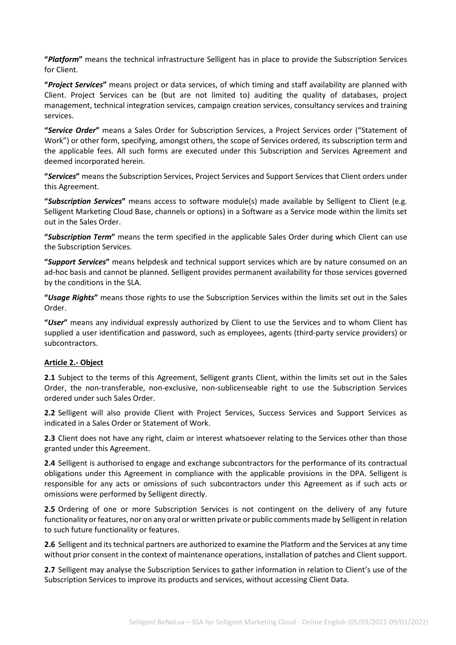**"***Platform***"** means the technical infrastructure Selligent has in place to provide the Subscription Services for Client.

**"***Project Services***"** means project or data services, of which timing and staff availability are planned with Client. Project Services can be (but are not limited to) auditing the quality of databases, project management, technical integration services, campaign creation services, consultancy services and training services.

**"***Service Order***"** means a Sales Order for Subscription Services, a Project Services order ("Statement of Work") or other form, specifying, amongst others, the scope of Services ordered, its subscription term and the applicable fees. All such forms are executed under this Subscription and Services Agreement and deemed incorporated herein.

**"***Services***"** means the Subscription Services, Project Services and Support Services that Client orders under this Agreement.

**"***Subscription Services***"** means access to software module(s) made available by Selligent to Client (e.g. Selligent Marketing Cloud Base, channels or options) in a Software as a Service mode within the limits set out in the Sales Order.

**"***Subscription Term***"** means the term specified in the applicable Sales Order during which Client can use the Subscription Services.

**"***Support Services***"** means helpdesk and technical support services which are by nature consumed on an ad-hoc basis and cannot be planned. Selligent provides permanent availability for those services governed by the conditions in the SLA.

**"***Usage Rights***"** means those rights to use the Subscription Services within the limits set out in the Sales Order.

**"***User***"** means any individual expressly authorized by Client to use the Services and to whom Client has supplied a user identification and password, such as employees, agents (third-party service providers) or subcontractors.

#### **Article 2.- Object**

**2.1** Subject to the terms of this Agreement, Selligent grants Client, within the limits set out in the Sales Order, the non-transferable, non-exclusive, non-sublicenseable right to use the Subscription Services ordered under such Sales Order.

**2.2** Selligent will also provide Client with Project Services, Success Services and Support Services as indicated in a Sales Order or Statement of Work.

**2.3** Client does not have any right, claim or interest whatsoever relating to the Services other than those granted under this Agreement.

**2.4** Selligent is authorised to engage and exchange subcontractors for the performance of its contractual obligations under this Agreement in compliance with the applicable provisions in the DPA. Selligent is responsible for any acts or omissions of such subcontractors under this Agreement as if such acts or omissions were performed by Selligent directly.

**2.5** Ordering of one or more Subscription Services is not contingent on the delivery of any future functionality or features, nor on any oral or written private or public comments made by Selligent in relation to such future functionality or features.

**2.6** Selligent and its technical partners are authorized to examine the Platform and the Services at any time without prior consent in the context of maintenance operations, installation of patches and Client support.

**2.7** Selligent may analyse the Subscription Services to gather information in relation to Client's use of the Subscription Services to improve its products and services, without accessing Client Data.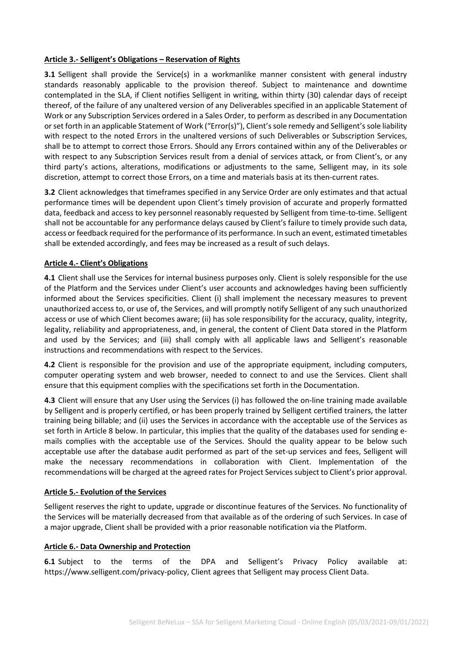#### **Article 3.- Selligent's Obligations – Reservation of Rights**

**3.1** Selligent shall provide the Service(s) in a workmanlike manner consistent with general industry standards reasonably applicable to the provision thereof. Subject to maintenance and downtime contemplated in the SLA, if Client notifies Selligent in writing, within thirty (30) calendar days of receipt thereof, of the failure of any unaltered version of any Deliverables specified in an applicable Statement of Work or any Subscription Services ordered in a Sales Order, to perform as described in any Documentation or set forth in an applicable Statement of Work ("Error(s)"), Client's sole remedy and Selligent's sole liability with respect to the noted Errors in the unaltered versions of such Deliverables or Subscription Services, shall be to attempt to correct those Errors. Should any Errors contained within any of the Deliverables or with respect to any Subscription Services result from a denial of services attack, or from Client's, or any third party's actions, alterations, modifications or adjustments to the same, Selligent may, in its sole discretion, attempt to correct those Errors, on a time and materials basis at its then-current rates.

**3.2** Client acknowledges that timeframes specified in any Service Order are only estimates and that actual performance times will be dependent upon Client's timely provision of accurate and properly formatted data, feedback and access to key personnel reasonably requested by Selligent from time-to-time. Selligent shall not be accountable for any performance delays caused by Client's failure to timely provide such data, access or feedback required for the performance of its performance. In such an event, estimated timetables shall be extended accordingly, and fees may be increased as a result of such delays.

# **Article 4.- Client's Obligations**

**4.1** Client shall use the Services for internal business purposes only. Client is solely responsible for the use of the Platform and the Services under Client's user accounts and acknowledges having been sufficiently informed about the Services specificities. Client (i) shall implement the necessary measures to prevent unauthorized access to, or use of, the Services, and will promptly notify Selligent of any such unauthorized access or use of which Client becomes aware; (ii) has sole responsibility for the accuracy, quality, integrity, legality, reliability and appropriateness, and, in general, the content of Client Data stored in the Platform and used by the Services; and (iii) shall comply with all applicable laws and Selligent's reasonable instructions and recommendations with respect to the Services.

**4.2** Client is responsible for the provision and use of the appropriate equipment, including computers, computer operating system and web browser, needed to connect to and use the Services. Client shall ensure that this equipment complies with the specifications set forth in the Documentation.

**4.3** Client will ensure that any User using the Services (i) has followed the on-line training made available by Selligent and is properly certified, or has been properly trained by Selligent certified trainers, the latter training being billable; and (ii) uses the Services in accordance with the acceptable use of the Services as set forth in Article 8 below. In particular, this implies that the quality of the databases used for sending emails complies with the acceptable use of the Services. Should the quality appear to be below such acceptable use after the database audit performed as part of the set-up services and fees, Selligent will make the necessary recommendations in collaboration with Client. Implementation of the recommendations will be charged at the agreed rates for Project Servicessubject to Client's prior approval.

#### **Article 5.- Evolution of the Services**

Selligent reserves the right to update, upgrade or discontinue features of the Services. No functionality of the Services will be materially decreased from that available as of the ordering of such Services. In case of a major upgrade, Client shall be provided with a prior reasonable notification via the Platform.

#### **Article 6.- Data Ownership and Protection**

**6.1** Subject to the terms of the DPA and Selligent's Privacy Policy available at: [https://www.selligent.com/privacy-policy,](https://www.selligent.com/privacy-policy) Client agrees that Selligent may process Client Data.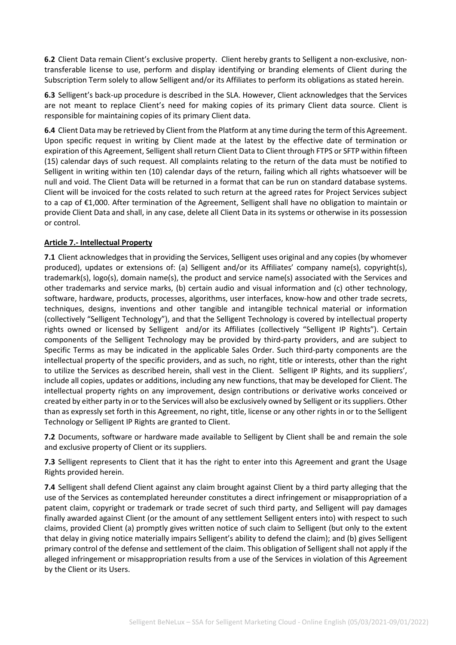**6.2** Client Data remain Client's exclusive property. Client hereby grants to Selligent a non-exclusive, nontransferable license to use, perform and display identifying or branding elements of Client during the Subscription Term solely to allow Selligent and/or its Affiliates to perform its obligations as stated herein.

**6.3** Selligent's back-up procedure is described in the SLA. However, Client acknowledges that the Services are not meant to replace Client's need for making copies of its primary Client data source. Client is responsible for maintaining copies of its primary Client data.

**6.4** Client Data may be retrieved by Client from the Platform at any time during the term of this Agreement. Upon specific request in writing by Client made at the latest by the effective date of termination or expiration of this Agreement, Selligent shall return Client Data to Client through FTPS or SFTP within fifteen (15) calendar days of such request. All complaints relating to the return of the data must be notified to Selligent in writing within ten (10) calendar days of the return, failing which all rights whatsoever will be null and void. The Client Data will be returned in a format that can be run on standard database systems. Client will be invoiced for the costs related to such return at the agreed rates for Project Services subject to a cap of €1,000. After termination of the Agreement, Selligent shall have no obligation to maintain or provide Client Data and shall, in any case, delete all Client Data in its systems or otherwise in its possession or control.

# **Article 7.- Intellectual Property**

**7.1** Client acknowledges that in providing the Services, Selligent uses original and any copies (by whomever produced), updates or extensions of: (a) Selligent and/or its Affiliates' company name(s), copyright(s), trademark(s), logo(s), domain name(s), the product and service name(s) associated with the Services and other trademarks and service marks, (b) certain audio and visual information and (c) other technology, software, hardware, products, processes, algorithms, user interfaces, know-how and other trade secrets, techniques, designs, inventions and other tangible and intangible technical material or information (collectively "Selligent Technology"), and that the Selligent Technology is covered by intellectual property rights owned or licensed by Selligent and/or its Affiliates (collectively "Selligent IP Rights"). Certain components of the Selligent Technology may be provided by third-party providers, and are subject to Specific Terms as may be indicated in the applicable Sales Order. Such third-party components are the intellectual property of the specific providers, and as such, no right, title or interests, other than the right to utilize the Services as described herein, shall vest in the Client. Selligent IP Rights, and its suppliers', include all copies, updates or additions, including any new functions, that may be developed for Client. The intellectual property rights on any improvement, design contributions or derivative works conceived or created by either party in or to the Services will also be exclusively owned by Selligent orits suppliers. Other than as expressly set forth in this Agreement, no right, title, license or any other rights in or to the Selligent Technology or Selligent IP Rights are granted to Client.

**7.2** Documents, software or hardware made available to Selligent by Client shall be and remain the sole and exclusive property of Client or its suppliers.

**7.3** Selligent represents to Client that it has the right to enter into this Agreement and grant the Usage Rights provided herein.

**7.4** Selligent shall defend Client against any claim brought against Client by a third party alleging that the use of the Services as contemplated hereunder constitutes a direct infringement or misappropriation of a patent claim, copyright or trademark or trade secret of such third party, and Selligent will pay damages finally awarded against Client (or the amount of any settlement Selligent enters into) with respect to such claims, provided Client (a) promptly gives written notice of such claim to Selligent (but only to the extent that delay in giving notice materially impairs Selligent's ability to defend the claim); and (b) gives Selligent primary control of the defense and settlement of the claim. This obligation of Selligent shall not apply if the alleged infringement or misappropriation results from a use of the Services in violation of this Agreement by the Client or its Users.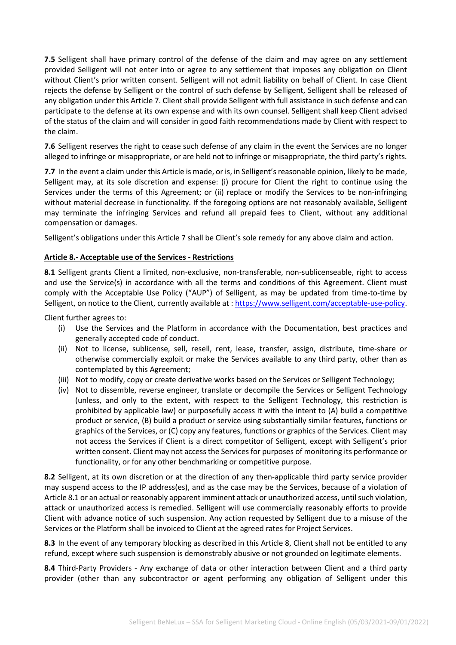**7.5** Selligent shall have primary control of the defense of the claim and may agree on any settlement provided Selligent will not enter into or agree to any settlement that imposes any obligation on Client without Client's prior written consent. Selligent will not admit liability on behalf of Client. In case Client rejects the defense by Selligent or the control of such defense by Selligent, Selligent shall be released of any obligation under this Article 7. Client shall provide Selligent with full assistance in such defense and can participate to the defense at its own expense and with its own counsel. Selligent shall keep Client advised of the status of the claim and will consider in good faith recommendations made by Client with respect to the claim.

**7.6** Selligent reserves the right to cease such defense of any claim in the event the Services are no longer alleged to infringe or misappropriate, or are held not to infringe or misappropriate, the third party's rights.

**7.7** In the event a claim under this Article is made, or is, in Selligent's reasonable opinion, likely to be made, Selligent may, at its sole discretion and expense: (i) procure for Client the right to continue using the Services under the terms of this Agreement; or (ii) replace or modify the Services to be non-infringing without material decrease in functionality. If the foregoing options are not reasonably available, Selligent may terminate the infringing Services and refund all prepaid fees to Client, without any additional compensation or damages.

Selligent's obligations under this Article 7 shall be Client's sole remedy for any above claim and action.

# **Article 8.- Acceptable use of the Services - Restrictions**

**8.1** Selligent grants Client a limited, non-exclusive, non-transferable, non-sublicenseable, right to access and use the Service(s) in accordance with all the terms and conditions of this Agreement. Client must comply with the Acceptable Use Policy ("AUP") of Selligent, as may be updated from time-to-time by Selligent, on notice to the Client, currently available at : [https://www.selligent.com/acceptable-use-policy.](https://www.selligent.com/acceptable-use-policy)

Client further agrees to:

- (i) Use the Services and the Platform in accordance with the Documentation, best practices and generally accepted code of conduct.
- (ii) Not to license, sublicense, sell, resell, rent, lease, transfer, assign, distribute, time-share or otherwise commercially exploit or make the Services available to any third party, other than as contemplated by this Agreement;
- (iii) Not to modify, copy or create derivative works based on the Services or Selligent Technology;
- (iv) Not to dissemble, reverse engineer, translate or decompile the Services or Selligent Technology (unless, and only to the extent, with respect to the Selligent Technology, this restriction is prohibited by applicable law) or purposefully access it with the intent to (A) build a competitive product or service, (B) build a product or service using substantially similar features, functions or graphics of the Services, or (C) copy any features, functions or graphics of the Services. Client may not access the Services if Client is a direct competitor of Selligent, except with Selligent's prior written consent. Client may not access the Services for purposes of monitoring its performance or functionality, or for any other benchmarking or competitive purpose.

**8.2** Selligent, at its own discretion or at the direction of any then-applicable third party service provider may suspend access to the IP address(es), and as the case may be the Services, because of a violation of Article 8.1 or an actual or reasonably apparent imminent attack or unauthorized access, until such violation, attack or unauthorized access is remedied. Selligent will use commercially reasonably efforts to provide Client with advance notice of such suspension. Any action requested by Selligent due to a misuse of the Services or the Platform shall be invoiced to Client at the agreed rates for Project Services.

**8.3** In the event of any temporary blocking as described in this Article 8, Client shall not be entitled to any refund, except where such suspension is demonstrably abusive or not grounded on legitimate elements.

**8.4** Third-Party Providers - Any exchange of data or other interaction between Client and a third party provider (other than any subcontractor or agent performing any obligation of Selligent under this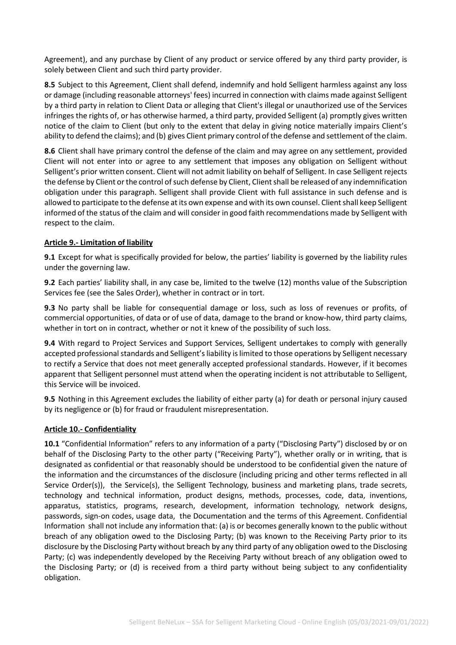Agreement), and any purchase by Client of any product or service offered by any third party provider, is solely between Client and such third party provider.

**8.5** Subject to this Agreement, Client shall defend, indemnify and hold Selligent harmless against any loss or damage (including reasonable attorneys' fees) incurred in connection with claims made against Selligent by a third party in relation to Client Data or alleging that Client's illegal or unauthorized use of the Services infringes the rights of, or has otherwise harmed, a third party, provided Selligent (a) promptly gives written notice of the claim to Client (but only to the extent that delay in giving notice materially impairs Client's ability to defend the claims); and (b) gives Client primary control of the defense and settlement of the claim.

**8.6** Client shall have primary control the defense of the claim and may agree on any settlement, provided Client will not enter into or agree to any settlement that imposes any obligation on Selligent without Selligent's prior written consent. Client will not admit liability on behalf of Selligent. In case Selligent rejects the defense by Client or the control of such defense by Client, Client shall be released of any indemnification obligation under this paragraph. Selligent shall provide Client with full assistance in such defense and is allowed to participate to the defense at its own expense and with its own counsel. Client shall keep Selligent informed of the status of the claim and will consider in good faith recommendations made by Selligent with respect to the claim.

# **Article 9.- Limitation of liability**

**9.1** Except for what is specifically provided for below, the parties' liability is governed by the liability rules under the governing law.

**9.2** Each parties' liability shall, in any case be, limited to the twelve (12) months value of the Subscription Services fee (see the Sales Order), whether in contract or in tort.

**9.3** No party shall be liable for consequential damage or loss, such as loss of revenues or profits, of commercial opportunities, of data or of use of data, damage to the brand or know-how, third party claims, whether in tort on in contract, whether or not it knew of the possibility of such loss.

**9.4** With regard to Project Services and Support Services, Selligent undertakes to comply with generally accepted professional standards and Selligent's liability is limited to those operations by Selligent necessary to rectify a Service that does not meet generally accepted professional standards. However, if it becomes apparent that Selligent personnel must attend when the operating incident is not attributable to Selligent, this Service will be invoiced.

**9.5** Nothing in this Agreement excludes the liability of either party (a) for death or personal injury caused by its negligence or (b) for fraud or fraudulent misrepresentation.

# **Article 10.- Confidentiality**

**10.1** "Confidential Information" refers to any information of a party ("Disclosing Party") disclosed by or on behalf of the Disclosing Party to the other party ("Receiving Party"), whether orally or in writing, that is designated as confidential or that reasonably should be understood to be confidential given the nature of the information and the circumstances of the disclosure (including pricing and other terms reflected in all Service Order(s)), the Service(s), the Selligent Technology, business and marketing plans, trade secrets, technology and technical information, product designs, methods, processes, code, data, inventions, apparatus, statistics, programs, research, development, information technology, network designs, passwords, sign-on codes, usage data, the Documentation and the terms of this Agreement. Confidential Information shall not include any information that: (a) is or becomes generally known to the public without breach of any obligation owed to the Disclosing Party; (b) was known to the Receiving Party prior to its disclosure by the Disclosing Party without breach by any third party of any obligation owed to the Disclosing Party; (c) was independently developed by the Receiving Party without breach of any obligation owed to the Disclosing Party; or (d) is received from a third party without being subject to any confidentiality obligation.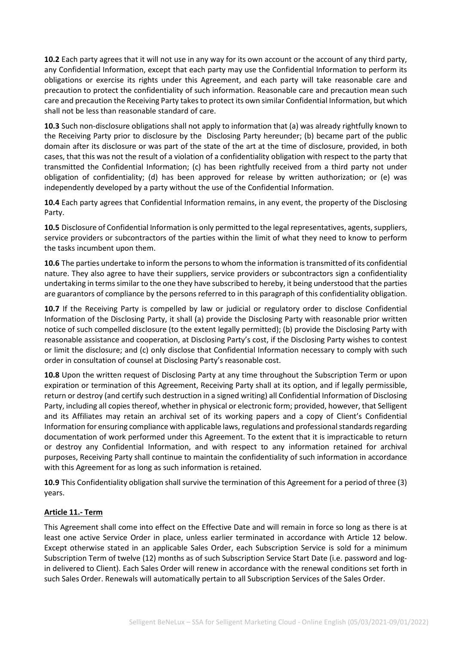**10.2** Each party agrees that it will not use in any way for its own account or the account of any third party, any Confidential Information, except that each party may use the Confidential Information to perform its obligations or exercise its rights under this Agreement, and each party will take reasonable care and precaution to protect the confidentiality of such information. Reasonable care and precaution mean such care and precaution the Receiving Party takes to protect its own similar Confidential Information, but which shall not be less than reasonable standard of care.

**10.3** Such non-disclosure obligations shall not apply to information that (a) was already rightfully known to the Receiving Party prior to disclosure by the Disclosing Party hereunder; (b) became part of the public domain after its disclosure or was part of the state of the art at the time of disclosure, provided, in both cases, that this was not the result of a violation of a confidentiality obligation with respect to the party that transmitted the Confidential Information; (c) has been rightfully received from a third party not under obligation of confidentiality; (d) has been approved for release by written authorization; or (e) was independently developed by a party without the use of the Confidential Information.

**10.4** Each party agrees that Confidential Information remains, in any event, the property of the Disclosing Party.

**10.5** Disclosure of Confidential Information is only permitted to the legal representatives, agents, suppliers, service providers or subcontractors of the parties within the limit of what they need to know to perform the tasks incumbent upon them.

**10.6** The parties undertake to inform the persons to whom the information is transmitted of its confidential nature. They also agree to have their suppliers, service providers or subcontractors sign a confidentiality undertaking in terms similar to the one they have subscribed to hereby, it being understood that the parties are guarantors of compliance by the persons referred to in this paragraph of this confidentiality obligation.

**10.7** If the Receiving Party is compelled by law or judicial or regulatory order to disclose Confidential Information of the Disclosing Party, it shall (a) provide the Disclosing Party with reasonable prior written notice of such compelled disclosure (to the extent legally permitted); (b) provide the Disclosing Party with reasonable assistance and cooperation, at Disclosing Party's cost, if the Disclosing Party wishes to contest or limit the disclosure; and (c) only disclose that Confidential Information necessary to comply with such order in consultation of counsel at Disclosing Party's reasonable cost.

**10.8** Upon the written request of Disclosing Party at any time throughout the Subscription Term or upon expiration or termination of this Agreement, Receiving Party shall at its option, and if legally permissible, return or destroy (and certify such destruction in a signed writing) all Confidential Information of Disclosing Party, including all copies thereof, whether in physical or electronic form; provided, however, that Selligent and its Affiliates may retain an archival set of its working papers and a copy of Client's Confidential Information for ensuring compliance with applicable laws, regulations and professional standards regarding documentation of work performed under this Agreement. To the extent that it is impracticable to return or destroy any Confidential Information, and with respect to any information retained for archival purposes, Receiving Party shall continue to maintain the confidentiality of such information in accordance with this Agreement for as long as such information is retained.

**10.9** This Confidentiality obligation shall survive the termination of this Agreement for a period of three (3) years.

#### **Article 11.- Term**

This Agreement shall come into effect on the Effective Date and will remain in force so long as there is at least one active Service Order in place, unless earlier terminated in accordance with Article 12 below. Except otherwise stated in an applicable Sales Order, each Subscription Service is sold for a minimum Subscription Term of twelve (12) months as of such Subscription Service Start Date (i.e. password and login delivered to Client). Each Sales Order will renew in accordance with the renewal conditions set forth in such Sales Order. Renewals will automatically pertain to all Subscription Services of the Sales Order.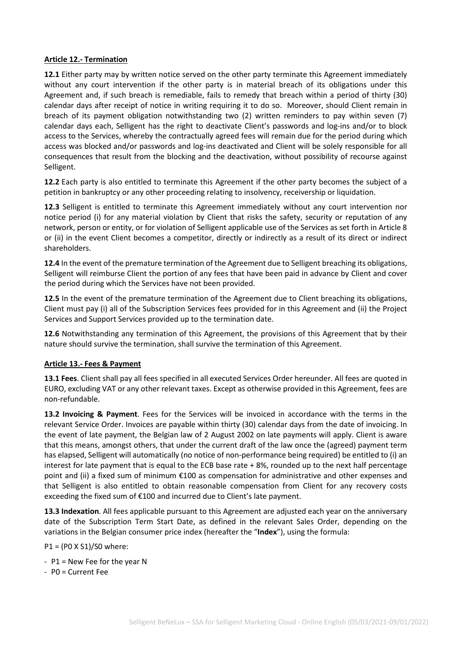#### **Article 12.- Termination**

**12.1** Either party may by written notice served on the other party terminate this Agreement immediately without any court intervention if the other party is in material breach of its obligations under this Agreement and, if such breach is remediable, fails to remedy that breach within a period of thirty (30) calendar days after receipt of notice in writing requiring it to do so. Moreover, should Client remain in breach of its payment obligation notwithstanding two (2) written reminders to pay within seven (7) calendar days each, Selligent has the right to deactivate Client's passwords and log-ins and/or to block access to the Services, whereby the contractually agreed fees will remain due for the period during which access was blocked and/or passwords and log-ins deactivated and Client will be solely responsible for all consequences that result from the blocking and the deactivation, without possibility of recourse against Selligent.

**12.2** Each party is also entitled to terminate this Agreement if the other party becomes the subject of a petition in bankruptcy or any other proceeding relating to insolvency, receivership or liquidation.

**12.3** Selligent is entitled to terminate this Agreement immediately without any court intervention nor notice period (i) for any material violation by Client that risks the safety, security or reputation of any network, person or entity, or for violation of Selligent applicable use of the Services as set forth in Article 8 or (ii) in the event Client becomes a competitor, directly or indirectly as a result of its direct or indirect shareholders.

**12.4** In the event of the premature termination of the Agreement due to Selligent breaching its obligations, Selligent will reimburse Client the portion of any fees that have been paid in advance by Client and cover the period during which the Services have not been provided.

**12.5** In the event of the premature termination of the Agreement due to Client breaching its obligations, Client must pay (i) all of the Subscription Services fees provided for in this Agreement and (ii) the Project Services and Support Services provided up to the termination date.

**12.6** Notwithstanding any termination of this Agreement, the provisions of this Agreement that by their nature should survive the termination, shall survive the termination of this Agreement.

#### **Article 13.- Fees & Payment**

**13.1 Fees**. Client shall pay all fees specified in all executed Services Order hereunder. All fees are quoted in EURO, excluding VAT or any other relevant taxes. Except as otherwise provided in this Agreement, fees are non-refundable.

**13.2 Invoicing & Payment**. Fees for the Services will be invoiced in accordance with the terms in the relevant Service Order. Invoices are payable within thirty (30) calendar days from the date of invoicing. In the event of late payment, the Belgian law of 2 August 2002 on late payments will apply. Client is aware that this means, amongst others, that under the current draft of the law once the (agreed) payment term has elapsed, Selligent will automatically (no notice of non-performance being required) be entitled to (i) an interest for late payment that is equal to the ECB base rate + 8%, rounded up to the next half percentage point and (ii) a fixed sum of minimum €100 as compensation for administrative and other expenses and that Selligent is also entitled to obtain reasonable compensation from Client for any recovery costs exceeding the fixed sum of €100 and incurred due to Client's late payment.

**13.3 Indexation**. All fees applicable pursuant to this Agreement are adjusted each year on the anniversary date of the Subscription Term Start Date, as defined in the relevant Sales Order, depending on the variations in the Belgian consumer price index (hereafter the "**Index**"), using the formula:

P1 = (P0 X S1)/S0 where:

- P1 = New Fee for the year N
- P0 = Current Fee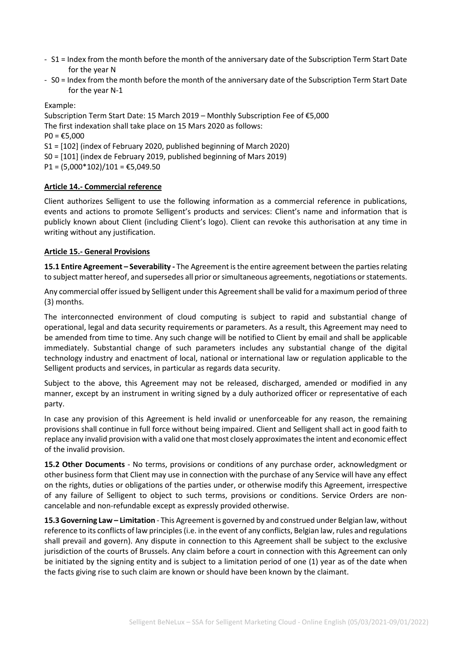- S1 = Index from the month before the month of the anniversary date of the Subscription Term Start Date for the year N
- S0 = Index from the month before the month of the anniversary date of the Subscription Term Start Date for the year N-1

Example:

Subscription Term Start Date: 15 March 2019 – Monthly Subscription Fee of €5,000 The first indexation shall take place on 15 Mars 2020 as follows:  $PO = £5,000$ S1 = [102] (index of February 2020, published beginning of March 2020) S0 = [101] (index de February 2019, published beginning of Mars 2019) P1 =  $(5,000*102)/101$  = €5,049.50

# **Article 14.- Commercial reference**

Client authorizes Selligent to use the following information as a commercial reference in publications, events and actions to promote Selligent's products and services: Client's name and information that is publicly known about Client (including Client's logo). Client can revoke this authorisation at any time in writing without any justification.

#### **Article 15.- General Provisions**

**15.1 Entire Agreement – Severability -** The Agreement is the entire agreement between the parties relating to subject matter hereof, and supersedes all prior or simultaneous agreements, negotiations or statements.

Any commercial offer issued by Selligent under this Agreement shall be valid for a maximum period of three (3) months.

The interconnected environment of cloud computing is subject to rapid and substantial change of operational, legal and data security requirements or parameters. As a result, this Agreement may need to be amended from time to time. Any such change will be notified to Client by email and shall be applicable immediately. Substantial change of such parameters includes any substantial change of the digital technology industry and enactment of local, national or international law or regulation applicable to the Selligent products and services, in particular as regards data security.

Subject to the above, this Agreement may not be released, discharged, amended or modified in any manner, except by an instrument in writing signed by a duly authorized officer or representative of each party.

In case any provision of this Agreement is held invalid or unenforceable for any reason, the remaining provisions shall continue in full force without being impaired. Client and Selligent shall act in good faith to replace any invalid provision with a valid one that most closely approximates the intent and economic effect of the invalid provision.

**15.2 Other Documents** - No terms, provisions or conditions of any purchase order, acknowledgment or other business form that Client may use in connection with the purchase of any Service will have any effect on the rights, duties or obligations of the parties under, or otherwise modify this Agreement, irrespective of any failure of Selligent to object to such terms, provisions or conditions. Service Orders are noncancelable and non-refundable except as expressly provided otherwise.

**15.3 Governing Law – Limitation** - This Agreement is governed by and construed under Belgian law, without reference to its conflicts of law principles (i.e. in the event of any conflicts, Belgian law, rules and regulations shall prevail and govern). Any dispute in connection to this Agreement shall be subject to the exclusive jurisdiction of the courts of Brussels. Any claim before a court in connection with this Agreement can only be initiated by the signing entity and is subject to a limitation period of one (1) year as of the date when the facts giving rise to such claim are known or should have been known by the claimant.